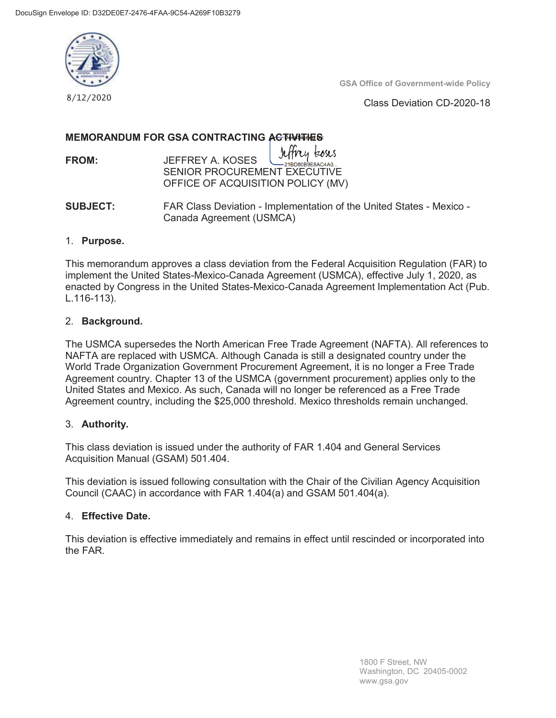

**GSA Office of Government-wide Policy** 

Class Deviation CD-2020-18

# **MEMORANDUM FOR GSA CONTRACTING ACTIVITIES**

**FROM:** JEFFREY A. KOSES SENIOR PROCUREMENT EXECUTIVE OFFICE OF ACQUISITION POLICY (MV) L~E~:o~

**SUBJECT:** FAR Class Deviation - Implementation of the United States - Mexico - Canada Agreement (USMCA)

# 1. **Purpose.**

This memorandum approves a class deviation from the Federal Acquisition Regulation (FAR) to implement the United States-Mexico-Canada Agreement (USMCA), effective July 1, 2020, as enacted by Congress in the United States-Mexico-Canada Agreement Implementation Act (Pub. L.116-113).

# 2. **Background.**

The USMCA supersedes the North American Free Trade Agreement (NAFTA). All references to NAFTA are replaced with USMCA. Although Canada is still a designated country under the World Trade Organization Government Procurement Agreement, it is no longer a Free Trade Agreement country. Chapter 13 of the USMCA (government procurement) applies only to the United States and Mexico. As such, Canada will no longer be referenced as a Free Trade Agreement country, including the \$25,000 threshold. Mexico thresholds remain unchanged.

# 3. **Authority.**

This class deviation is issued under the authority of FAR 1.404 and General Services Acquisition Manual (GSAM) 501.404.

This deviation is issued following consultation with the Chair of the Civilian Agency Acquisition Council (CAAC) in accordance with FAR 1.404(a) and GSAM 501.404(a).

# 4. **Effective Date.**

This deviation is effective immediately and remains in effect until rescinded or incorporated into the FAR.

> 1800 F Street, NW Washington, DC 20405-0002 www.gsa.gov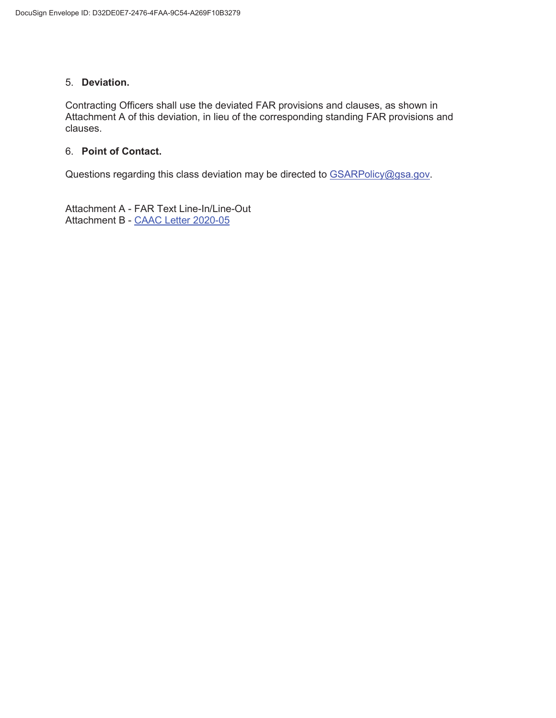# 5. **Deviation.**

Contracting Officers shall use the deviated FAR provisions and clauses, as shown in Attachment A of this deviation, in lieu of the corresponding standing FAR provisions and clauses.

# 6. **Point of Contact.**

Questions regarding this class deviation may be directed to GSARPolicy@gsa.gov.

Attachment A - FAR Text Line-In/Line-Out Attachment B - [CAAC Letter 2020-05](https://www.acquisition.gov/sites/default/files/page_file_uploads/CAAC_Letter_2020_05.pdf)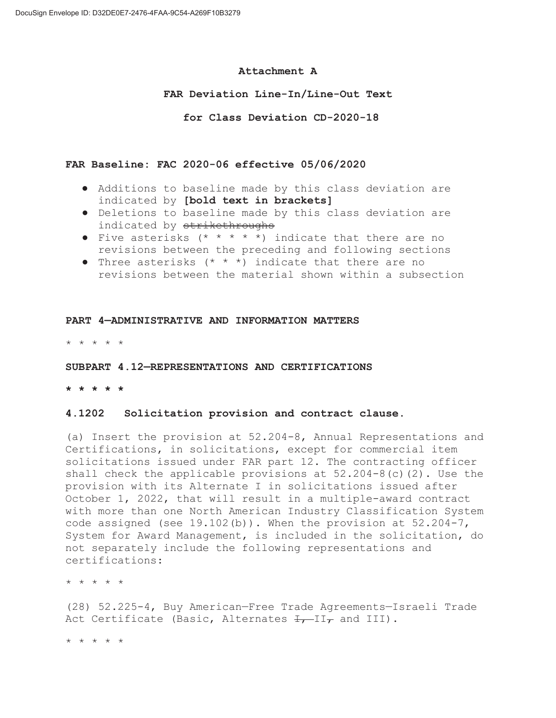### **Attachment A**

## **FAR Deviation Line-In/Line-Out Text**

 **for Class Deviation CD-2020-18** 

## **FAR Baseline: FAC 2020-06 effective 05/06/2020**

- Additions to baseline made by this class deviation are indicated by **[bold text in brackets]**
- Deletions to baseline made by this class deviation are indicated by strikethroughs
- Five asterisks  $(* * * * *)$  indicate that there are no revisions between the preceding and following sections
- Three asterisks  $(* * * )$  indicate that there are no revisions between the material shown within a subsection

### **PART 4—ADMINISTRATIVE AND INFORMATION MATTERS**

\* \* \* \* \*

#### **SUBPART 4.12—REPRESENTATIONS AND CERTIFICATIONS**

**\* \* \* \* \*** 

#### **4.1202 Solicitation provision and contract clause.**

(a) Insert the provision at 52.204-8, Annual Representations and Certifications, in solicitations, except for commercial item solicitations issued under FAR part 12. The contracting officer shall check the applicable provisions at 52.204-8(c)(2). Use the provision with its Alternate I in solicitations issued after October 1, 2022, that will result in a multiple-award contract with more than one North American Industry Classification System code assigned (see  $19.102(b)$ ). When the provision at  $52.204-7$ , System for Award Management, is included in the solicitation, do not separately include the following representations and certifications:

\* \* \* \* \*

(28) 52.225-4, Buy American—Free Trade Agreements—Israeli Trade Act Certificate (Basic, Alternates  $\overline{f}_{\tau}$ -II $\tau$  and III).

\* \* \* \* \*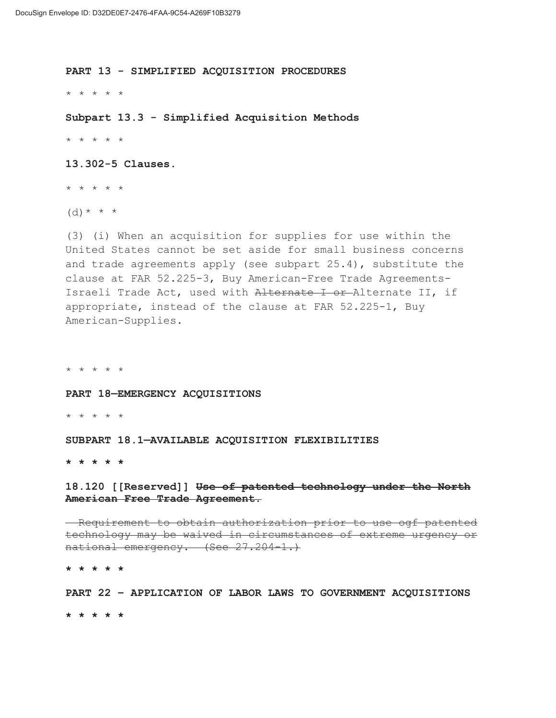**PART 13 - SIMPLIFIED ACQUISITION PROCEDURES** 

\* \* \* \* \*

**Subpart 13.3 - Simplified Acquisition Methods**  \* \* \* \* \*

**13.302-5 Clauses.** 

\* \* \* \* \*

 $(d) * * * *$ 

(3) (i) When an acquisition for supplies for use within the United States cannot be set aside for small business concerns and trade agreements apply (see subpart 25.4), substitute the clause at FAR 52.225-3, Buy American-Free Trade Agreements-Israeli Trade Act, used with Alternate I or Alternate II, if appropriate, instead of the clause at FAR 52.225-1, Buy American-Supplies.

\* \* \* \* \*

**PART 18—EMERGENCY ACQUISITIONS** 

\* \* \* \* \*

**SUBPART 18.1—AVAILABLE ACQUISITION FLEXIBILITIES** 

**\* \* \* \* \*** 

**18.120 [[Reserved]] Use of patented technology under the North American Free Trade Agreement.** 

- Requirement to obtain authorization prior to use ogf patented technology may be waived in circumstances of extreme urgency or national emergency. (See 27.204-1.)

**\* \* \* \* \*** 

**PART 22 – APPLICATION OF LABOR LAWS TO GOVERNMENT ACQUISITIONS \* \* \* \* \***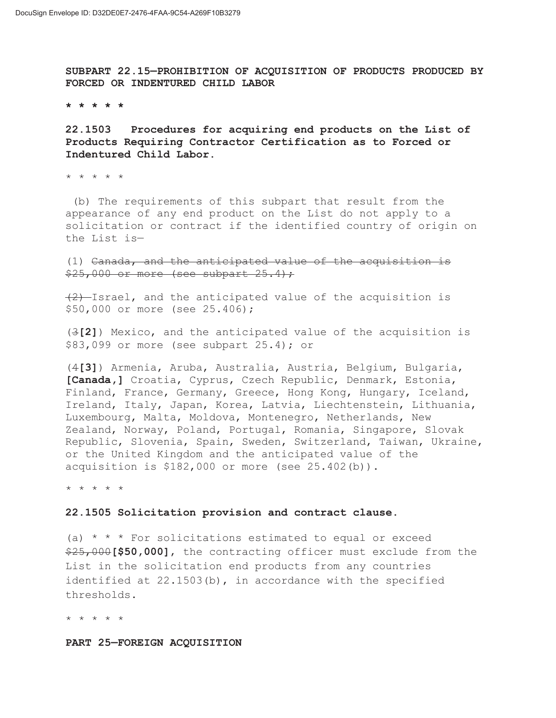**SUBPART 22.15—PROHIBITION OF ACQUISITION OF PRODUCTS PRODUCED BY FORCED OR INDENTURED CHILD LABOR** 

**\* \* \* \* \*** 

**22.1503 Procedures for acquiring end products on the List of Products Requiring Contractor Certification as to Forced or Indentured Child Labor.** 

\* \* \* \* \*

 (b) The requirements of this subpart that result from the appearance of any end product on the List do not apply to a solicitation or contract if the identified country of origin on the List is—

(1) Canada, and the anticipated value of the acquisition is  $$25,000$  or more (see subpart  $25.4$ );

 $(2)$ -Israel, and the anticipated value of the acquisition is \$50,000 or more (see 25.406);

(3**[2]**) Mexico, and the anticipated value of the acquisition is \$83,099 or more (see subpart 25.4); or

(4**[3]**) Armenia, Aruba, Australia, Austria, Belgium, Bulgaria, **[Canada,]** Croatia, Cyprus, Czech Republic, Denmark, Estonia, Finland, France, Germany, Greece, Hong Kong, Hungary, Iceland, Ireland, Italy, Japan, Korea, Latvia, Liechtenstein, Lithuania, Luxembourg, Malta, Moldova, Montenegro, Netherlands, New Zealand, Norway, Poland, Portugal, Romania, Singapore, Slovak Republic, Slovenia, Spain, Sweden, Switzerland, Taiwan, Ukraine, or the United Kingdom and the anticipated value of the acquisition is \$182,000 or more (see 25.402(b)).

\* \* \* \* \*

#### **22.1505 Solicitation provision and contract clause.**

(a)  $* * *$  For solicitations estimated to equal or exceed \$25,000**[\$50,000]**, the contracting officer must exclude from the List in the solicitation end products from any countries identified at 22.1503(b), in accordance with the specified thresholds.

\* \* \* \* \*

**PART 25—FOREIGN ACQUISITION**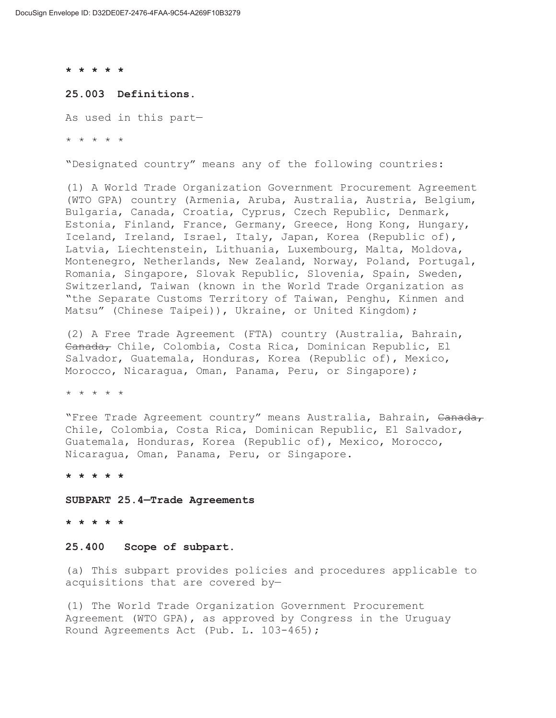**\* \* \* \* \*** 

#### **25.003 Definitions.**

As used in this part—

\* \* \* \* \*

"Designated country" means any of the following countries:

(1) A World Trade Organization Government Procurement Agreement (WTO GPA) country (Armenia, Aruba, Australia, Austria, Belgium, Bulgaria, Canada, Croatia, Cyprus, Czech Republic, Denmark, Estonia, Finland, France, Germany, Greece, Hong Kong, Hungary, Iceland, Ireland, Israel, Italy, Japan, Korea (Republic of), Latvia, Liechtenstein, Lithuania, Luxembourg, Malta, Moldova, Montenegro, Netherlands, New Zealand, Norway, Poland, Portugal, Romania, Singapore, Slovak Republic, Slovenia, Spain, Sweden, Switzerland, Taiwan (known in the World Trade Organization as "the Separate Customs Territory of Taiwan, Penghu, Kinmen and Matsu" (Chinese Taipei)), Ukraine, or United Kingdom);

(2) A Free Trade Agreement (FTA) country (Australia, Bahrain, Canada, Chile, Colombia, Costa Rica, Dominican Republic, El Salvador, Guatemala, Honduras, Korea (Republic of), Mexico, Morocco, Nicaragua, Oman, Panama, Peru, or Singapore);

\* \* \* \* \*

"Free Trade Agreement country" means Australia, Bahrain, Canada, Chile, Colombia, Costa Rica, Dominican Republic, El Salvador, Guatemala, Honduras, Korea (Republic of), Mexico, Morocco, Nicaragua, Oman, Panama, Peru, or Singapore.

**\* \* \* \* \*** 

**SUBPART 25.4—Trade Agreements** 

**\* \* \* \* \*** 

#### **25.400 Scope of subpart.**

(a) This subpart provides policies and procedures applicable to acquisitions that are covered by—

(1) The World Trade Organization Government Procurement Agreement (WTO GPA), as approved by Congress in the Uruguay Round Agreements Act (Pub. L. 103-465);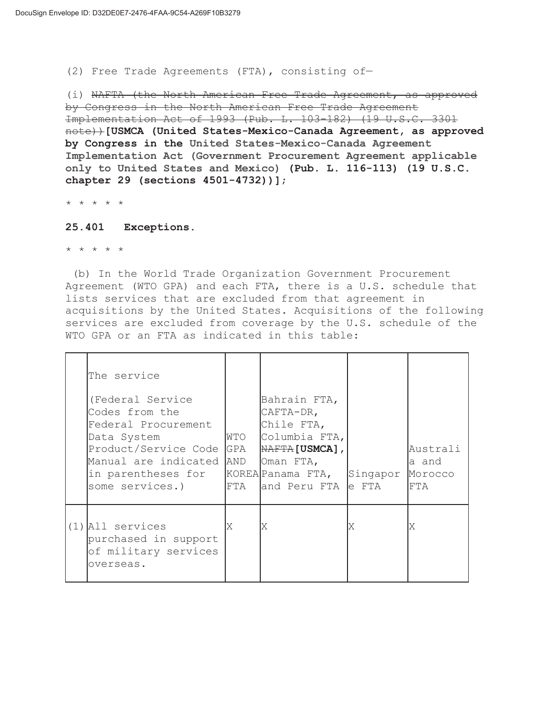(2) Free Trade Agreements (FTA), consisting of—

(i) NAFTA (the North American Free Trade Agreement, as approved by Congress in the North American Free Trade Agreement Implementation Act of 1993 (Pub. L. 103-182) (19 U.S.C. 3301 note))**[USMCA (United States-Mexico-Canada Agreement, as approved by Congress in the United States-Mexico-Canada Agreement Implementation Act (Government Procurement Agreement applicable only to United States and Mexico) (Pub. L. 116-113) (19 U.S.C. chapter 29 (sections 4501-4732))]**;

\* \* \* \* \*

#### **25.401 Exceptions.**

\* \* \* \* \*

 (b) In the World Trade Organization Government Procurement Agreement (WTO GPA) and each FTA, there is a U.S. schedule that lists services that are excluded from that agreement in acquisitions by the United States. Acquisitions of the following services are excluded from coverage by the U.S. schedule of the WTO GPA or an FTA as indicated in this table:

| The service<br>(Federal Service<br>Codes from the<br>Federal Procurement<br>Data System<br>Product/Service Code<br>Manual are indicated AND<br>in parentheses for<br>some services.) | WTO<br>GPA<br>FTA | Bahrain FTA,<br>CAFTA-DR,<br>Chile FTA,<br>Columbia FTA,<br>NAFTA [USMCA],<br>Oman FTA,<br>KOREA Panama FTA,<br>and Peru FTA e FTA | Singapor | Australi<br>a and<br>Morocco<br>FTA |
|--------------------------------------------------------------------------------------------------------------------------------------------------------------------------------------|-------------------|------------------------------------------------------------------------------------------------------------------------------------|----------|-------------------------------------|
| $(1)$ All services<br>purchased in support<br>of military services<br>overseas.                                                                                                      | X                 | ΙX                                                                                                                                 | ΙX       |                                     |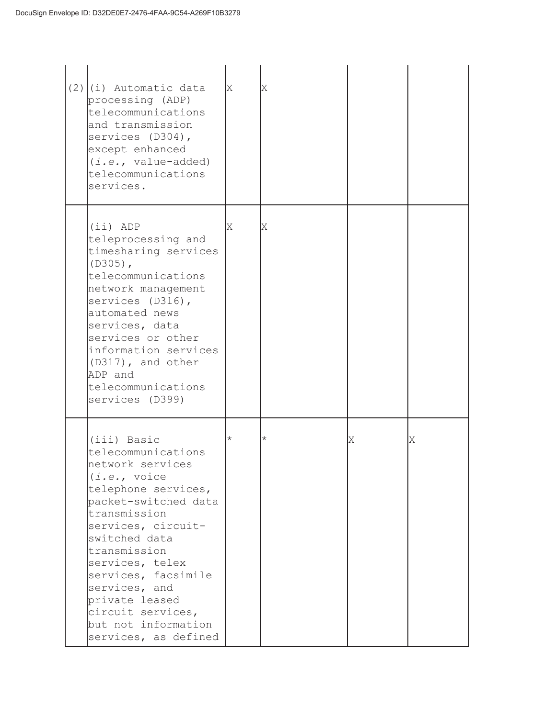| $(2)(i)$ Automatic data<br>processing (ADP)<br>telecommunications<br>and transmission<br>services (D304),<br>except enhanced<br>$(i.e., value-added)$<br>telecommunications<br>services.                                                                                                                                                     | X          | Χ        |   |   |
|----------------------------------------------------------------------------------------------------------------------------------------------------------------------------------------------------------------------------------------------------------------------------------------------------------------------------------------------|------------|----------|---|---|
| $(iii)$ ADP<br>teleprocessing and<br>timesharing services<br>$(D305)$ ,<br>telecommunications<br>network management<br>services (D316),<br>automated news<br>services, data<br>services or other<br>information services<br>(D317), and other<br>ADP and<br>telecommunications<br>services (D399)                                            | X          | ΙX       |   |   |
| (iii) Basic<br>telecommunications<br>network services<br>(i.e., voice<br>telephone services,<br>packet-switched data<br>transmission<br>services, circuit-<br>switched data<br>transmission<br>services, telex<br>services, facsimile<br>services, and<br>private leased<br>circuit services,<br>but not information<br>services, as defined | $^{\star}$ | $^\star$ | Χ | Χ |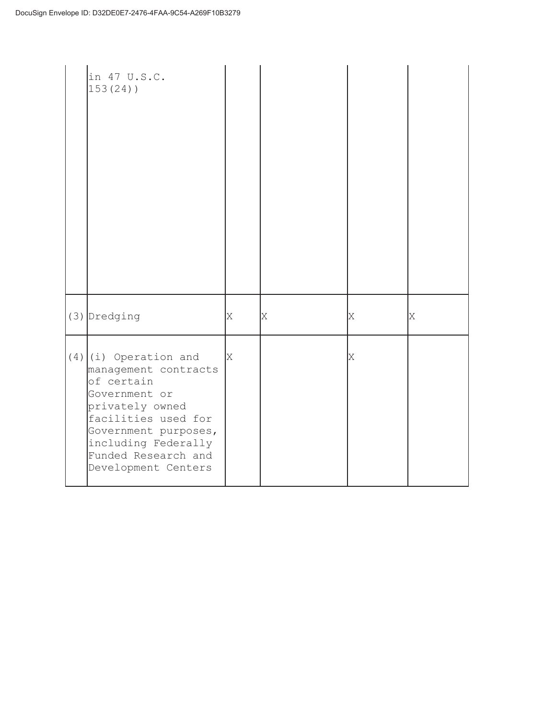| in 47 U.S.C.<br>$153(24)$ )                                                                                                                                                                                           |   |   |   |   |
|-----------------------------------------------------------------------------------------------------------------------------------------------------------------------------------------------------------------------|---|---|---|---|
| (3) Dredging                                                                                                                                                                                                          | Χ | X | X | X |
| $(4)$ (i) Operation and<br>management contracts<br>of certain<br>Government or<br>privately owned<br>facilities used for<br>Government purposes,<br>including Federally<br>Funded Research and<br>Development Centers | X |   | X |   |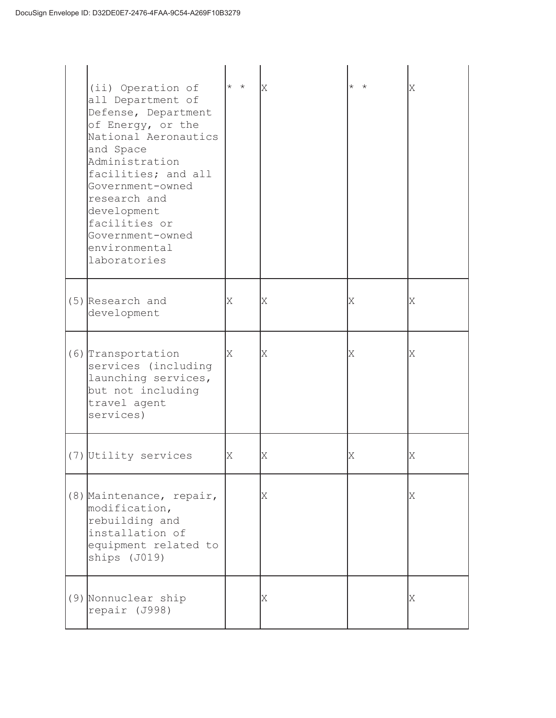| (ii) Operation of<br>all Department of<br>Defense, Department<br>of Energy, or the<br>National Aeronautics<br>and Space<br>Administration<br>facilities; and all<br>Government-owned<br>research and<br>development<br>facilities or<br>Government-owned<br>environmental<br>laboratories | $\star$ $\star$ | IX | $\star$ $\star$ | Χ |
|-------------------------------------------------------------------------------------------------------------------------------------------------------------------------------------------------------------------------------------------------------------------------------------------|-----------------|----|-----------------|---|
| $(5)$ Research and<br>development                                                                                                                                                                                                                                                         | X               | X  | X               | Χ |
| (6) Transportation<br>services (including<br>launching services,<br>but not including<br>travel agent<br>services)                                                                                                                                                                        | X               | Χ  | X               | Χ |
| (7) Utility services                                                                                                                                                                                                                                                                      | X               | Χ  | Χ               | Χ |
| (8) Maintenance, repair,<br>modification,<br>rebuilding and<br>installation of<br>equipment related to<br>ships (J019)                                                                                                                                                                    |                 | Χ  |                 | X |
| (9) Nonnuclear ship<br>repair (J998)                                                                                                                                                                                                                                                      |                 | Χ  |                 | Χ |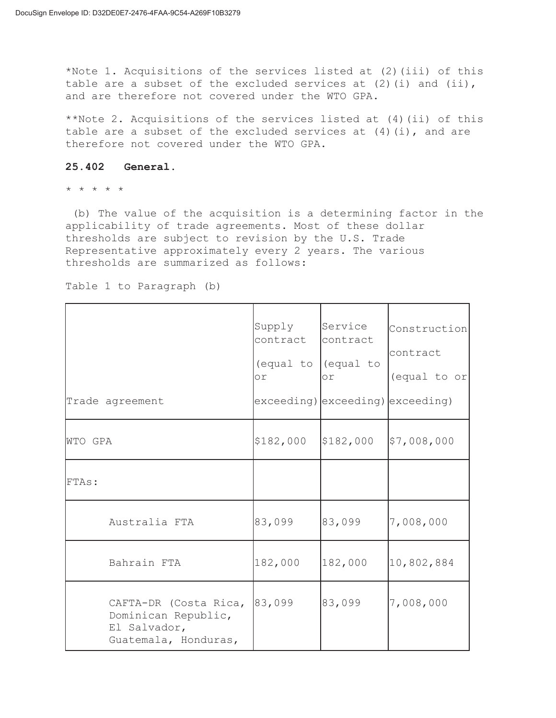\*Note 1. Acquisitions of the services listed at (2)(iii) of this table are a subset of the excluded services at  $(2)$  (i) and  $(i)$ , and are therefore not covered under the WTO GPA.

\*\*Note 2. Acquisitions of the services listed at (4)(ii) of this table are a subset of the excluded services at  $(4)(i)$ , and are therefore not covered under the WTO GPA.

## **25.402 General.**

\* \* \* \* \*

 (b) The value of the acquisition is a determining factor in the applicability of trade agreements. Most of these dollar thresholds are subject to revision by the U.S. Trade Representative approximately every 2 years. The various thresholds are summarized as follows:

| Trade agreement                                                                      | Supply<br>contract<br>(equal to<br>or. | Service<br>contract<br>(equal to<br>or<br>exceeding) exceeding) exceeding) | Construction<br>contract<br>(equal to or |
|--------------------------------------------------------------------------------------|----------------------------------------|----------------------------------------------------------------------------|------------------------------------------|
|                                                                                      |                                        |                                                                            |                                          |
| WTO GPA                                                                              | \$182,000                              | \$182,000                                                                  | \$7,008,000                              |
| FTAs:                                                                                |                                        |                                                                            |                                          |
| Australia FTA                                                                        | 83,099                                 | 83,099                                                                     | 7,008,000                                |
| Bahrain FTA                                                                          | 182,000                                | 182,000                                                                    | 10,802,884                               |
| CAFTA-DR (Costa Rica,<br>Dominican Republic,<br>El Salvador,<br>Guatemala, Honduras, | 83,099                                 | 83,099                                                                     | 7,008,000                                |

Table 1 to Paragraph (b)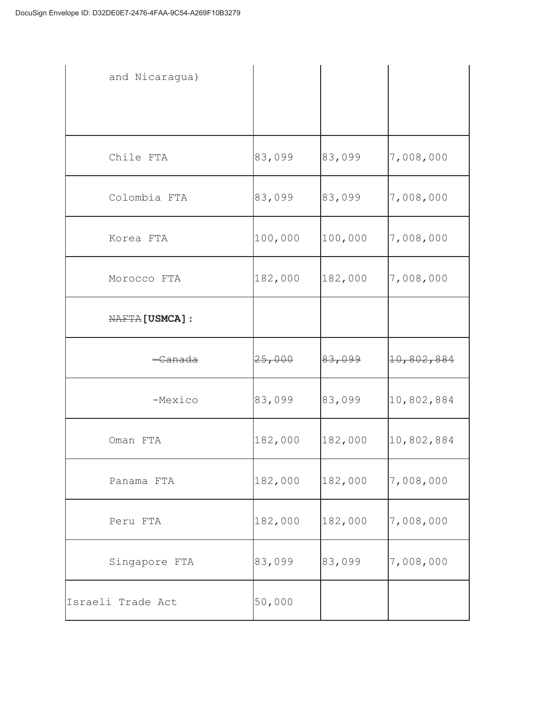| and Nicaragua)         |         |         |            |
|------------------------|---------|---------|------------|
|                        |         |         |            |
| Chile FTA              | 83,099  | 83,099  | 7,008,000  |
| Colombia FTA           | 83,099  | 83,099  | 7,008,000  |
| Korea FTA              | 100,000 | 100,000 | 7,008,000  |
| Morocco FTA            | 182,000 | 182,000 | 7,008,000  |
| <b>NAFTA</b> [USMCA] : |         |         |            |
| <del>-Canada</del>     | 25,000  | 83,099  | 10,802,884 |
| -Mexico                | 83,099  | 83,099  | 10,802,884 |
| Oman FTA               | 182,000 | 182,000 | 10,802,884 |
| Panama FTA             | 182,000 | 182,000 | 7,008,000  |
| Peru FTA               | 182,000 | 182,000 | 7,008,000  |
| Singapore FTA          | 83,099  | 83,099  | 7,008,000  |
| Israeli Trade Act      | 50,000  |         |            |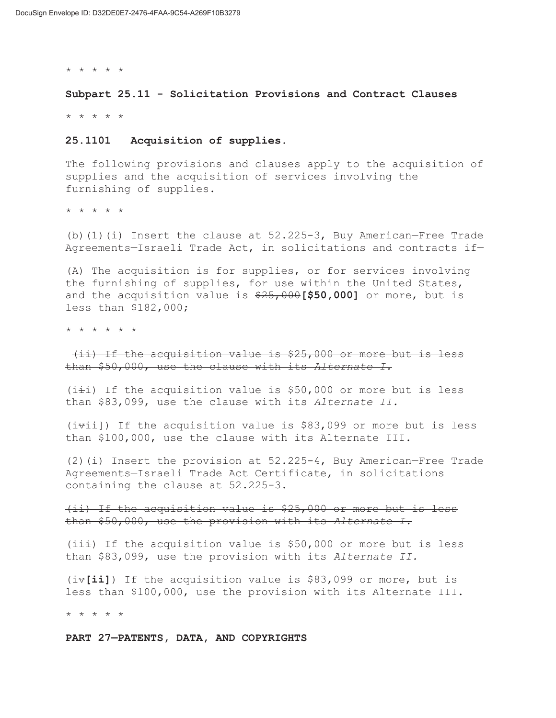\* \* \* \* \*

**Subpart 25.11 - Solicitation Provisions and Contract Clauses**  \* \* \* \* \*

# **25.1101 Acquisition of supplies.**

The following provisions and clauses apply to the acquisition of supplies and the acquisition of services involving the furnishing of supplies.

\* \* \* \* \*

(b)(1)(i) Insert the clause at  $52.225-3$ , Buy American–Free Trade Agreements—Israeli Trade Act, in solicitations and contracts if—

(A) The acquisition is for supplies, or for services involving the furnishing of supplies, for use within the United States, and the acquisition value is \$25,000**[\$50,000]** or more, but is less than \$182,000;

\* \* \* \* \* \*

 (ii) If the acquisition value is \$25,000 or more but is less than \$50,000, use the clause with its *Alternate I.* 

 $(i \pm i)$  If the acquisition value is \$50,000 or more but is less than \$83,099, use the clause with its *Alternate II.* 

 $(i\texttt{+}i)$ ) If the acquisition value is \$83,099 or more but is less than \$100,000, use the clause with its Alternate III.

(2)(i) Insert the provision at 52.225-4, Buy American—Free Trade Agreements—Israeli Trade Act Certificate, in solicitations containing the clause at 52.225-3.

(ii) If the acquisition value is \$25,000 or more but is less than \$50,000, use the provision with its *Alternate I.* 

(ii $\pm$ ) If the acquisition value is \$50,000 or more but is less than \$83,099, use the provision with its *Alternate II.* 

(iv**[ii]**) If the acquisition value is \$83,099 or more, but is less than \$100,000, use the provision with its Alternate III.

\* \* \* \* \*

**PART 27—PATENTS, DATA, AND COPYRIGHTS**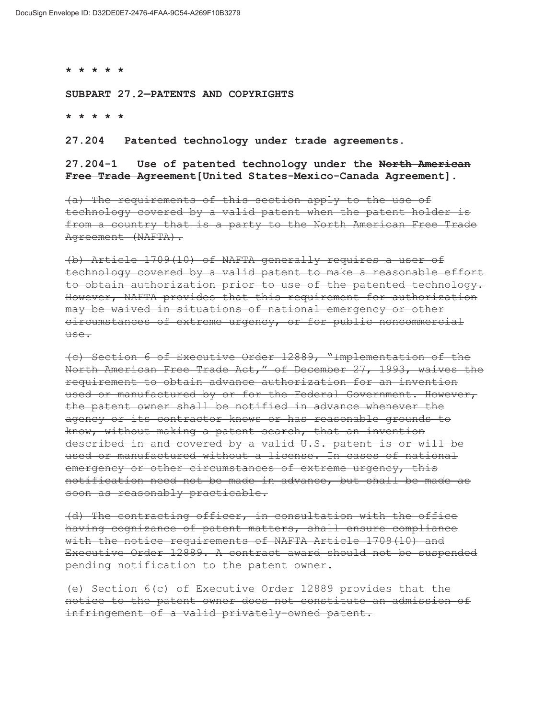**\* \* \* \* \*** 

**SUBPART 27.2—PATENTS AND COPYRIGHTS** 

**\* \* \* \* \*** 

**27.204 Patented technology under trade agreements.** 

**27.204-1 Use of patented technology under the North American Free Trade Agreement[United States-Mexico-Canada Agreement].** 

(a) The requirements of this section apply to the use of technology covered by a valid patent when the patent holder is from a country that is a party to the North American Free Trade Agreement (NAFTA).

(b) Article 1709(10) of NAFTA generally requires a user of technology covered by a valid patent to make a reasonable effort to obtain authorization prior to use of the patented technology. However, NAFTA provides that this requirement for authorization may be waived in situations of national emergency or other circumstances of extreme urgency, or for public noncommercial use.

(c) Section 6 of Executive Order 12889, "Implementation of the North American Free Trade Act," of December 27, 1993, waives the requirement to obtain advance authorization for an invention used or manufactured by or for the Federal Government. However, the patent owner shall be notified in advance whenever the agency or its contractor knows or has reasonable grounds to know, without making a patent search, that an invention described in and covered by a valid U.S. patent is or will be used or manufactured without a license. In cases of national emergency or other circumstances of extreme urgency, this notification need not be made in advance, but shall be made as soon as reasonably practicable.

(d) The contracting officer, in consultation with the office having cognizance of patent matters, shall ensure compliance with the notice requirements of NAFTA Article 1709(10) and Executive Order 12889. A contract award should not be suspended pending notification to the patent owner.

(e) Section 6(c) of Executive Order 12889 provides that the notice to the patent owner does not constitute an admission of infringement of a valid privately-owned patent.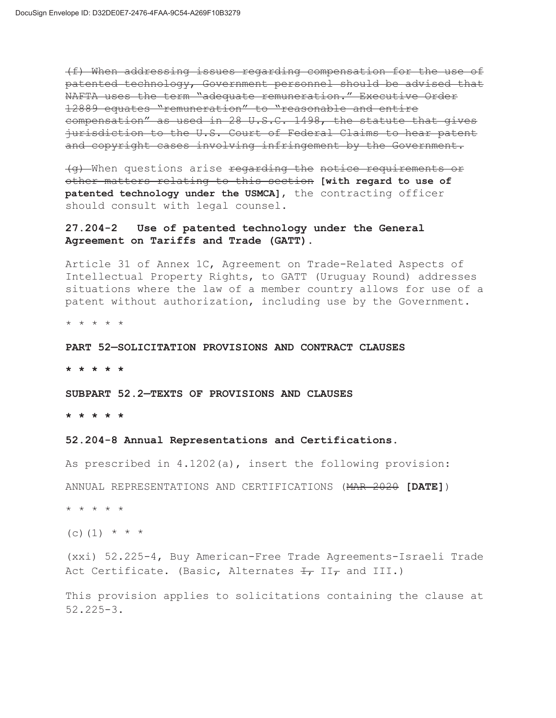(f) When addressing issues regarding compensation for the use of patented technology, Government personnel should be advised that NAFTA uses the term "adequate remuneration." Executive Order 12889 equates "remuneration" to "reasonable and entire compensation" as used in 28 U.S.C. 1498, the statute that gives jurisdiction to the U.S. Court of Federal Claims to hear patent and copyright cases involving infringement by the Government.

(g) When questions arise regarding the notice requirements or other matters relating to this section **[with regard to use of patented technology under the USMCA]**, the contracting officer should consult with legal counsel.

## **27.204-2 Use of patented technology under the General Agreement on Tariffs and Trade (GATT).**

Article 31 of Annex 1C, Agreement on Trade-Related Aspects of Intellectual Property Rights, to GATT (Uruguay Round) addresses situations where the law of a member country allows for use of a patent without authorization, including use by the Government.

\* \* \* \* \*

#### **PART 52—SOLICITATION PROVISIONS AND CONTRACT CLAUSES**

**\* \* \* \* \*** 

## **SUBPART 52.2—TEXTS OF PROVISIONS AND CLAUSES**

**\* \* \* \* \*** 

#### **52.204-8 Annual Representations and Certifications.**

As prescribed in 4.1202(a), insert the following provision:

ANNUAL REPRESENTATIONS AND CERTIFICATIONS (MAR 2020 **[DATE]**)

\* \* \* \* \*

(c) (1)  $* * * *$ 

(xxi) 52.225-4, Buy American-Free Trade Agreements-Israeli Trade Act Certificate. (Basic, Alternates  $\overline{H}$ , II<sub>7</sub> and III.)

This provision applies to solicitations containing the clause at 52.225-3.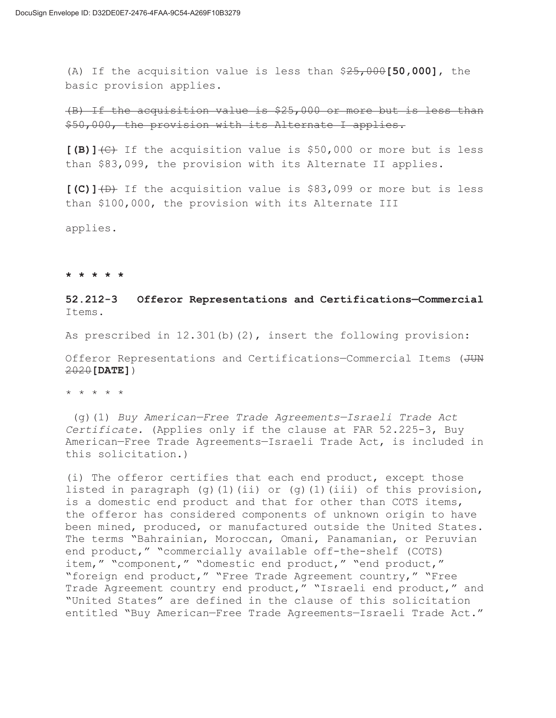(A) If the acquisition value is less than \$25,000**[50,000]**, the basic provision applies.

(B) If the acquisition value is \$25,000 or more but is less than \$50,000, the provision with its Alternate I applies.

**[(B)]**(C) If the acquisition value is \$50,000 or more but is less than \$83,099, the provision with its Alternate II applies.

**[(C)]**(D) If the acquisition value is \$83,099 or more but is less than \$100,000, the provision with its Alternate III

applies.

#### **\* \* \* \* \***

# **52.212-3 Offeror Representations and Certifications—Commercial**  Items.

As prescribed in 12.301(b)(2), insert the following provision:

Offeror Representations and Certifications-Commercial Items (JUN 2020**[DATE]**)

\* \* \* \* \*

 (g)(1) *Buy American—Free Trade Agreements—Israeli Trade Act Certificate.* (Applies only if the clause at FAR 52.225-3, Buy American—Free Trade Agreements—Israeli Trade Act, is included in this solicitation.)

(i) The offeror certifies that each end product, except those listed in paragraph  $(q)$ (1)(ii) or  $(q)$ (1)(iii) of this provision, is a domestic end product and that for other than COTS items, the offeror has considered components of unknown origin to have been mined, produced, or manufactured outside the United States. The terms "Bahrainian, Moroccan, Omani, Panamanian, or Peruvian end product," "commercially available off-the-shelf (COTS) item," "component," "domestic end product," "end product," "foreign end product," "Free Trade Agreement country," "Free Trade Agreement country end product," "Israeli end product," and "United States" are defined in the clause of this solicitation entitled "Buy American—Free Trade Agreements—Israeli Trade Act."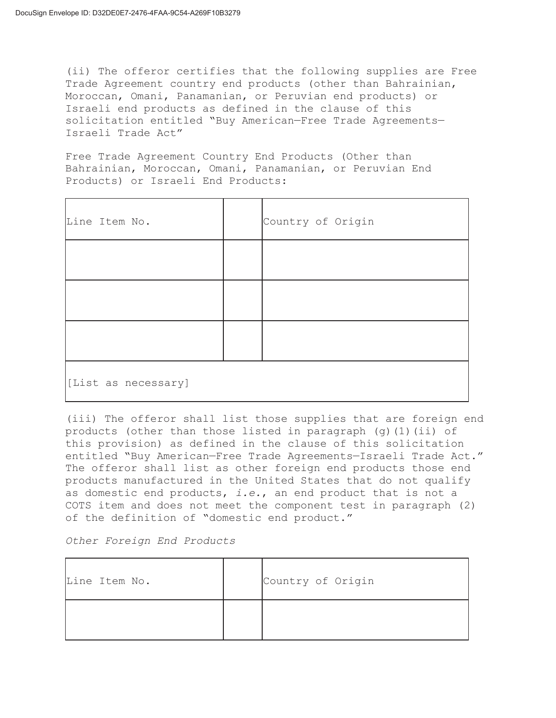(ii) The offeror certifies that the following supplies are Free Trade Agreement country end products (other than Bahrainian, Moroccan, Omani, Panamanian, or Peruvian end products) or Israeli end products as defined in the clause of this solicitation entitled "Buy American—Free Trade Agreements— Israeli Trade Act"

Free Trade Agreement Country End Products (Other than Bahrainian, Moroccan, Omani, Panamanian, or Peruvian End Products) or Israeli End Products:

| Line Item No.       |  | Country of Origin |  |  |
|---------------------|--|-------------------|--|--|
|                     |  |                   |  |  |
|                     |  |                   |  |  |
|                     |  |                   |  |  |
| [List as necessary] |  |                   |  |  |

(iii) The offeror shall list those supplies that are foreign end products (other than those listed in paragraph  $(q)$  (1)(ii) of this provision) as defined in the clause of this solicitation entitled "Buy American—Free Trade Agreements—Israeli Trade Act." The offeror shall list as other foreign end products those end products manufactured in the United States that do not qualify as domestic end products, *i.e.*, an end product that is not a COTS item and does not meet the component test in paragraph (2) of the definition of "domestic end product."

*Other Foreign End Products* 

| Line Item No. | Country of Origin |
|---------------|-------------------|
|               |                   |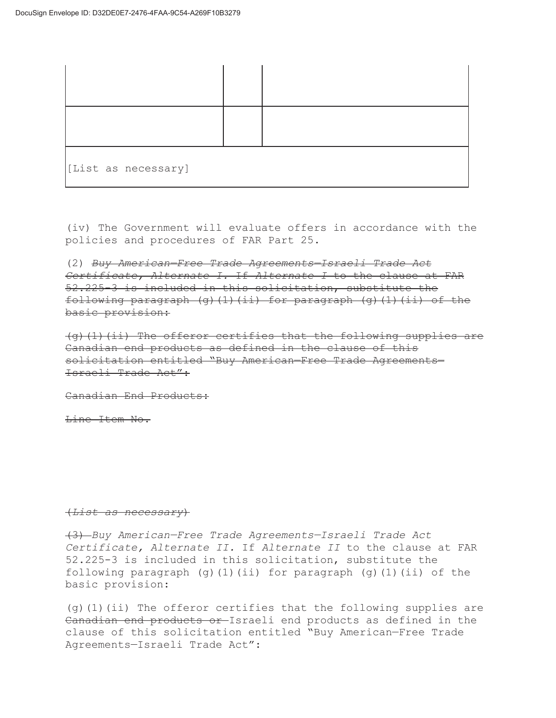| [List as necessary] |  |  |
|---------------------|--|--|

(iv) The Government will evaluate offers in accordance with the policies and procedures of FAR Part 25.

(2) *Buy American—Free Trade Agreements—Israeli Trade Act Certificate, Alternate I.* If *Alternate I* to the clause at FAR 52.225-3 is included in this solicitation, substitute the following paragraph  $(q)$ (1)(ii) for paragraph  $(q)$ (1)(ii) of the basic provision:

(g)(1)(ii) The offeror certifies that the following supplies are Canadian end products as defined in the clause of this solicitation entitled "Buy American—Free Trade Agreements— Israeli Trade Act":

Canadian End Products:

Line Item No.

#### (*List as necessary*)

(3) *Buy American—Free Trade Agreements—Israeli Trade Act Certificate, Alternate II.* If *Alternate II* to the clause at FAR 52.225-3 is included in this solicitation, substitute the following paragraph (g)(1)(ii) for paragraph (g)(1)(ii) of the basic provision:

(g)(1)(ii) The offeror certifies that the following supplies are Canadian end products or Israeli end products as defined in the clause of this solicitation entitled "Buy American—Free Trade Agreements—Israeli Trade Act":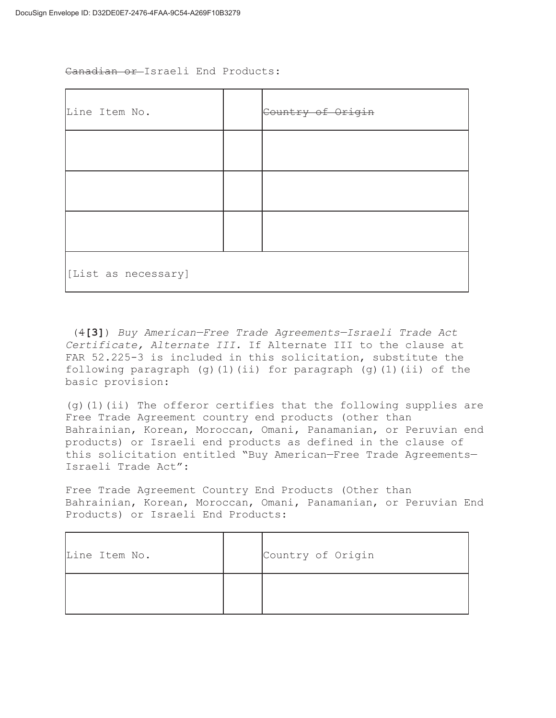Canadian or Israeli End Products:

| Line Item No.       |  | Country of Origin |  |  |  |
|---------------------|--|-------------------|--|--|--|
|                     |  |                   |  |  |  |
|                     |  |                   |  |  |  |
|                     |  |                   |  |  |  |
| [List as necessary] |  |                   |  |  |  |

 (4**[3]**) *Buy American—Free Trade Agreements—Israeli Trade Act Certificate, Alternate III.* If Alternate III to the clause at FAR 52.225-3 is included in this solicitation, substitute the following paragraph  $(q)$ (1)(ii) for paragraph  $(q)$ (1)(ii) of the basic provision:

(g)(1)(ii) The offeror certifies that the following supplies are Free Trade Agreement country end products (other than Bahrainian, Korean, Moroccan, Omani, Panamanian, or Peruvian end products) or Israeli end products as defined in the clause of this solicitation entitled "Buy American—Free Trade Agreements— Israeli Trade Act":

Free Trade Agreement Country End Products (Other than Bahrainian, Korean, Moroccan, Omani, Panamanian, or Peruvian End Products) or Israeli End Products:

| Line Item No. | Country of Origin |
|---------------|-------------------|
|               |                   |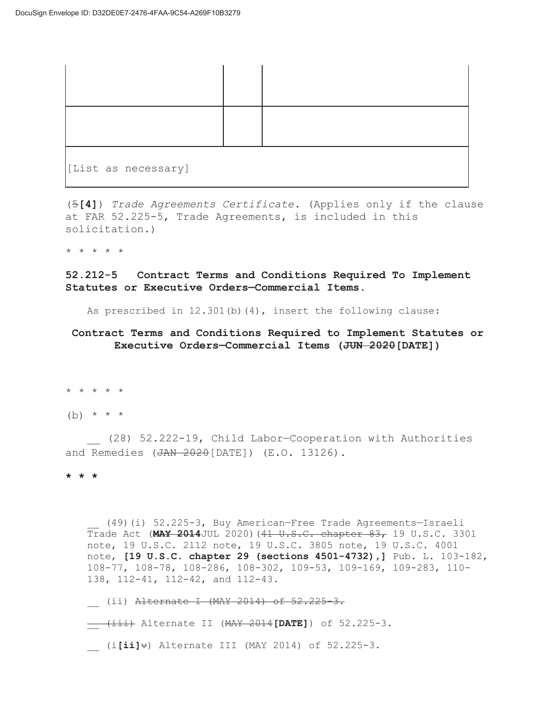| [List as necessary] |  |
|---------------------|--|

(5**[4]**) *Trade Agreements Certificate.* (Applies only if the clause at FAR 52.225-5, Trade Agreements, is included in this solicitation.)

\* \* \* \* \*

**52.212-5 Contract Terms and Conditions Required To Implement Statutes or Executive Orders—Commercial Items.** 

As prescribed in  $12.301(b)(4)$ , insert the following clause:

## **Contract Terms and Conditions Required to Implement Statutes or Executive Orders—Commercial Items (JUN 2020[DATE])**

\* \* \* \* \*

(b)  $* * * *$ 

\_\_ (28) 52.222-19, Child Labor—Cooperation with Authorities and Remedies (JAN 2020[DATE]) (E.O. 13126).

**\* \* \*** 

\_\_ (49)(i) 52.225-3, Buy American—Free Trade Agreements—Israeli Trade Act (**MAY 2014**JUL 2020)(41 U.S.C. chapter 83, 19 U.S.C. 3301 note, 19 U.S.C. 2112 note, 19 U.S.C. 3805 note, 19 U.S.C. 4001 note, **[19 U.S.C. chapter 29 (sections 4501-4732),]** Pub. L. 103-182, 108-77, 108-78, 108-286, 108-302, 109-53, 109-169, 109-283, 110- 138, 112-41, 112-42, and 112-43.

- (ii) <del>Alternate I (MAY 2014) of 52.225-3.</del>
- \_\_ (iii) Alternate II (MAY 2014**[DATE]**) of 52.225-3.
- \_\_ (i**[ii]**v) Alternate III (MAY 2014) of 52.225-3.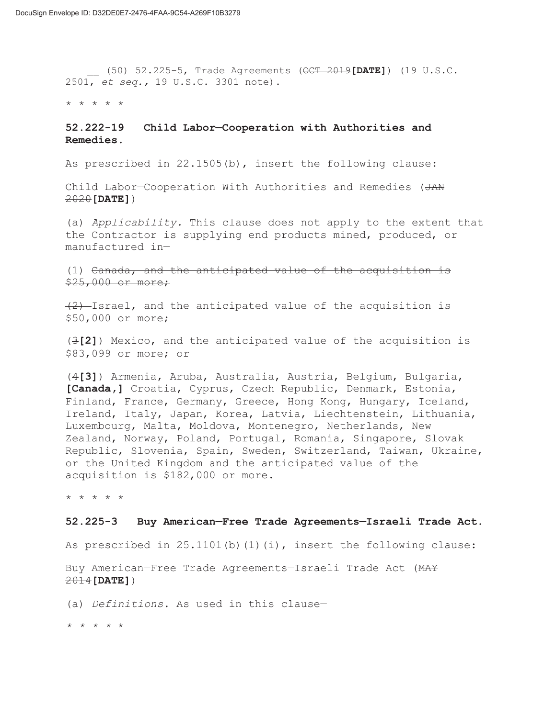\_\_ (50) 52.225-5, Trade Agreements (OCT 2019**[DATE]**) (19 U.S.C. 2501, *et seq.,* 19 U.S.C. 3301 note).

\* \* \* \* \*

## **52.222-19 Child Labor—Cooperation with Authorities and Remedies.**

As prescribed in 22.1505(b), insert the following clause:

Child Labor—Cooperation With Authorities and Remedies (JAN 2020**[DATE]**)

(a) *Applicability.* This clause does not apply to the extent that the Contractor is supplying end products mined, produced, or manufactured in—

(1) Canada, and the anticipated value of the acquisition is \$25,000 or more;

 $(2)$ -Israel, and the anticipated value of the acquisition is \$50,000 or more;

(3**[2]**) Mexico, and the anticipated value of the acquisition is \$83,099 or more; or

(4**[3]**) Armenia, Aruba, Australia, Austria, Belgium, Bulgaria, **[Canada,]** Croatia, Cyprus, Czech Republic, Denmark, Estonia, Finland, France, Germany, Greece, Hong Kong, Hungary, Iceland, Ireland, Italy, Japan, Korea, Latvia, Liechtenstein, Lithuania, Luxembourg, Malta, Moldova, Montenegro, Netherlands, New Zealand, Norway, Poland, Portugal, Romania, Singapore, Slovak Republic, Slovenia, Spain, Sweden, Switzerland, Taiwan, Ukraine, or the United Kingdom and the anticipated value of the acquisition is \$182,000 or more.

\* \* \* \* \*

#### **52.225-3 Buy American—Free Trade Agreements—Israeli Trade Act.**

As prescribed in  $25.1101(b)(1)(i)$ , insert the following clause:

Buy American—Free Trade Agreements—Israeli Trade Act (MAY 2014**[DATE]**)

(a) *Definitions.* As used in this clause—

*\* \* \* \** \*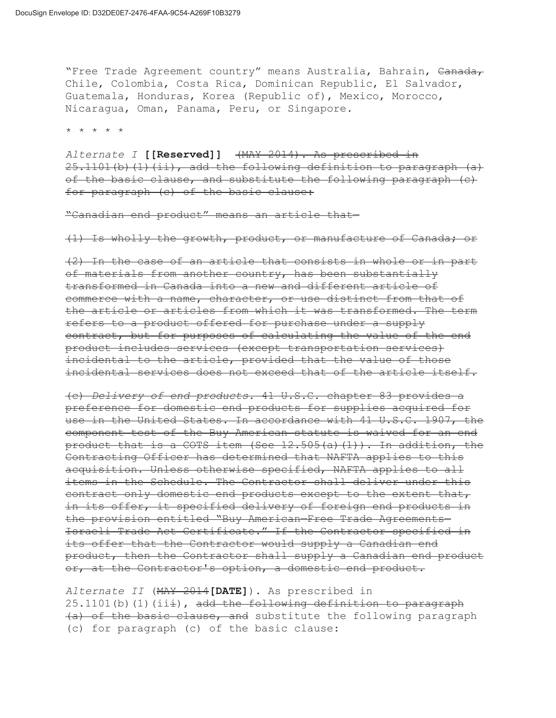"Free Trade Agreement country" means Australia, Bahrain, Canada, Chile, Colombia, Costa Rica, Dominican Republic, El Salvador, Guatemala, Honduras, Korea (Republic of), Mexico, Morocco, Nicaragua, Oman, Panama, Peru, or Singapore.

\* \* \* \* \*

*Alternate I* **[[Reserved]]** (MAY 2014). As prescribed in 25.1101(b)(1)(ii), add the following definition to paragraph (a) of the basic clause, and substitute the following paragraph (c) for paragraph (c) of the basic clause:

"Canadian end product" means an article that—

(1) Is wholly the growth, product, or manufacture of Canada; or

(2) In the case of an article that consists in whole or in part of materials from another country, has been substantially transformed in Canada into a new and different article of commerce with a name, character, or use distinct from that of the article or articles from which it was transformed. The term refers to a product offered for purchase under a supply contract, but for purposes of calculating the value of the end product includes services (except transportation services) incidental to the article, provided that the value of those incidental services does not exceed that of the article itself.

(c) *Delivery of end products.* 41 U.S.C. chapter 83 provides a preference for domestic end products for supplies acquired for use in the United States. In accordance with 41 U.S.C. 1907, the component test of the Buy American statute is waived for an end product that is a COTS item (See  $12.505(a)(1)$ ). In addition, the Contracting Officer has determined that NAFTA applies to this acquisition. Unless otherwise specified, NAFTA applies to all items in the Schedule. The Contractor shall deliver under this contract only domestic end products except to the extent that, in its offer, it specified delivery of foreign end products in the provision entitled "Buy American—Free Trade Agreements— Israeli Trade Act Certificate." If the Contractor specified in its offer that the Contractor would supply a Canadian end product, then the Contractor shall supply a Canadian end product or, at the Contractor's option, a domestic end product.

*Alternate II* (MAY 2014**[DATE]**). As prescribed in  $25.1101(b)$  (1)(iii), add the following definition to paragraph (a) of the basic clause, and substitute the following paragraph (c) for paragraph (c) of the basic clause: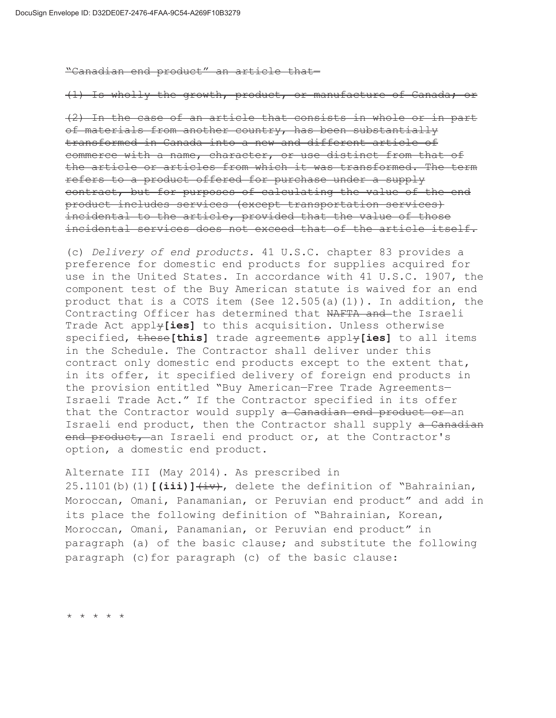"Canadian end product" an article that—

(1) Is wholly the growth, product, or manufacture of Canada; or

(2) In the case of an article that consists in whole or in part of materials from another country, has been substantially transformed in Canada into a new and different article of commerce with a name, character, or use distinct from that of the article or articles from which it was transformed. The term refers to a product offered for purchase under a supply contract, but for purposes of calculating the value of the end product includes services (except transportation services) incidental to the article, provided that the value of those incidental services does not exceed that of the article itself.

(c) *Delivery of end products.* 41 U.S.C. chapter 83 provides a preference for domestic end products for supplies acquired for use in the United States. In accordance with 41 U.S.C. 1907, the component test of the Buy American statute is waived for an end product that is a COTS item (See 12.505(a)(1)). In addition, the Contracting Officer has determined that NAFTA and the Israeli Trade Act apply**[ies]** to this acquisition. Unless otherwise specified, these**[this]** trade agreements apply**[ies]** to all items in the Schedule. The Contractor shall deliver under this contract only domestic end products except to the extent that, in its offer, it specified delivery of foreign end products in the provision entitled "Buy American—Free Trade Agreements— Israeli Trade Act." If the Contractor specified in its offer that the Contractor would supply a Canadian end product or an Israeli end product, then the Contractor shall supply a Canadian end product, an Israeli end product or, at the Contractor's option, a domestic end product.

Alternate III (May 2014). As prescribed in 25.1101(b)(1) $\left(i\text{iii}\right)$ <sup>+iv</sup>, delete the definition of "Bahrainian, Moroccan, Omani, Panamanian, or Peruvian end product" and add in its place the following definition of "Bahrainian, Korean, Moroccan, Omani, Panamanian, or Peruvian end product" in paragraph (a) of the basic clause; and substitute the following paragraph (c)for paragraph (c) of the basic clause:

\* \* \* \* \*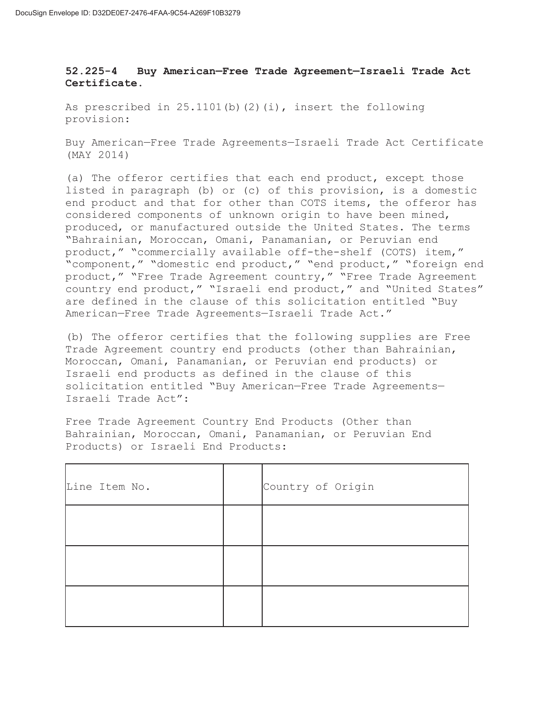# **52.225-4 Buy American—Free Trade Agreement—Israeli Trade Act Certificate.**

As prescribed in  $25.1101(b)(2)(i)$ , insert the following provision:

Buy American—Free Trade Agreements—Israeli Trade Act Certificate (MAY 2014)

(a) The offeror certifies that each end product, except those listed in paragraph (b) or (c) of this provision, is a domestic end product and that for other than COTS items, the offeror has considered components of unknown origin to have been mined, produced, or manufactured outside the United States. The terms "Bahrainian, Moroccan, Omani, Panamanian, or Peruvian end product," "commercially available off-the-shelf (COTS) item," "component," "domestic end product," "end product," "foreign end product," "Free Trade Agreement country," "Free Trade Agreement country end product," "Israeli end product," and "United States" are defined in the clause of this solicitation entitled "Buy American—Free Trade Agreements—Israeli Trade Act."

(b) The offeror certifies that the following supplies are Free Trade Agreement country end products (other than Bahrainian, Moroccan, Omani, Panamanian, or Peruvian end products) or Israeli end products as defined in the clause of this solicitation entitled "Buy American—Free Trade Agreements— Israeli Trade Act":

Free Trade Agreement Country End Products (Other than Bahrainian, Moroccan, Omani, Panamanian, or Peruvian End Products) or Israeli End Products:

| Line Item No. | Country of Origin |
|---------------|-------------------|
|               |                   |
|               |                   |
|               |                   |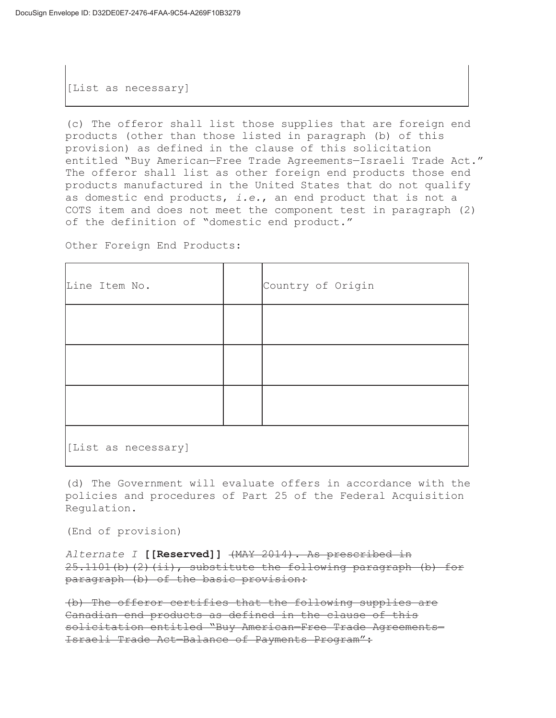[List as necessary]

(c) The offeror shall list those supplies that are foreign end products (other than those listed in paragraph (b) of this provision) as defined in the clause of this solicitation entitled "Buy American—Free Trade Agreements—Israeli Trade Act." The offeror shall list as other foreign end products those end products manufactured in the United States that do not qualify as domestic end products, *i.e.*, an end product that is not a COTS item and does not meet the component test in paragraph (2) of the definition of "domestic end product."

Other Foreign End Products:

| Line Item No.       |  | Country of Origin |  |  |
|---------------------|--|-------------------|--|--|
|                     |  |                   |  |  |
|                     |  |                   |  |  |
|                     |  |                   |  |  |
| [List as necessary] |  |                   |  |  |

(d) The Government will evaluate offers in accordance with the policies and procedures of Part 25 of the Federal Acquisition Regulation.

(End of provision)

```
Alternate I [[Reserved]] (MAY 2014). As prescribed in 
25.1101(b)(2)(ii), substitute the following paragraph (b) for
paragraph (b) of the basic provision:
```
(b) The offeror certifies that the following supplies are Canadian end products as defined in the clause of this solicitation entitled "Buy American—Free Trade Agreements— Israeli Trade Act—Balance of Payments Program":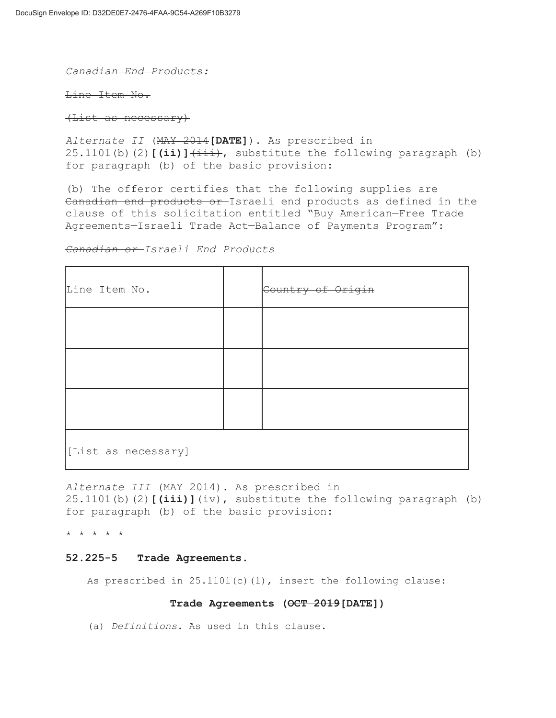#### *Canadian End Products:*

Line Item No.

(List as necessary)

*Alternate II* (MAY 2014**[DATE]**). As prescribed in 25.1101(b)(2)<sup>[(ii)](iii),</sup> substitute the following paragraph (b) for paragraph (b) of the basic provision:

(b) The offeror certifies that the following supplies are Canadian end products or Israeli end products as defined in the clause of this solicitation entitled "Buy American—Free Trade Agreements—Israeli Trade Act—Balance of Payments Program":

## *Canadian or Israeli End Products*

| Line Item No.       |  | Country of Origin |  |  |
|---------------------|--|-------------------|--|--|
|                     |  |                   |  |  |
|                     |  |                   |  |  |
|                     |  |                   |  |  |
| [List as necessary] |  |                   |  |  |

*Alternate III* (MAY 2014). As prescribed in 25.1101(b)(2) $[(\text{iii})\]$ <sup> $(\text{iv})$ </sup>, substitute the following paragraph (b) for paragraph (b) of the basic provision:

\* \* \* \* \*

### **52.225-5 Trade Agreements.**

As prescribed in  $25.1101(c)(1)$ , insert the following clause:

## **Trade Agreements (OCT 2019[DATE])**

(a) *Definitions.* As used in this clause.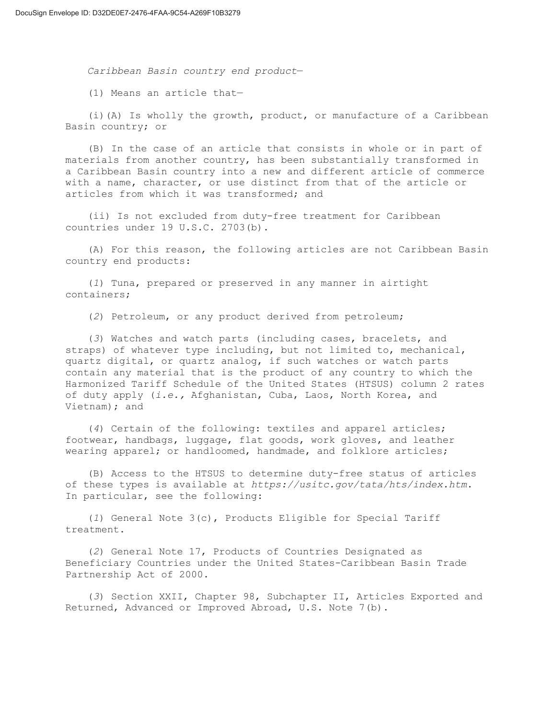*Caribbean Basin country end product*—

(1) Means an article that—

(i)(A) Is wholly the growth, product, or manufacture of a Caribbean Basin country; or

(B) In the case of an article that consists in whole or in part of materials from another country, has been substantially transformed in a Caribbean Basin country into a new and different article of commerce with a name, character, or use distinct from that of the article or articles from which it was transformed; and

(ii) Is not excluded from duty-free treatment for Caribbean countries under 19 U.S.C. 2703(b).

(A) For this reason, the following articles are not Caribbean Basin country end products:

(*1*) Tuna, prepared or preserved in any manner in airtight containers;

(*2*) Petroleum, or any product derived from petroleum;

(*3*) Watches and watch parts (including cases, bracelets, and straps) of whatever type including, but not limited to, mechanical, quartz digital, or quartz analog, if such watches or watch parts contain any material that is the product of any country to which the Harmonized Tariff Schedule of the United States (HTSUS) column 2 rates of duty apply (*i.e.,* Afghanistan, Cuba, Laos, North Korea, and Vietnam); and

(*4*) Certain of the following: textiles and apparel articles; footwear, handbags, luggage, flat goods, work gloves, and leather wearing apparel; or handloomed, handmade, and folklore articles;

(B) Access to the HTSUS to determine duty-free status of articles of these types is available at *https://usitc.gov/tata/hts/index.htm*. In particular, see the following:

(*1*) General Note 3(c), Products Eligible for Special Tariff treatment.

(*2*) General Note 17, Products of Countries Designated as Beneficiary Countries under the United States-Caribbean Basin Trade Partnership Act of 2000.

(*3*) Section XXII, Chapter 98, Subchapter II, Articles Exported and Returned, Advanced or Improved Abroad, U.S. Note 7(b).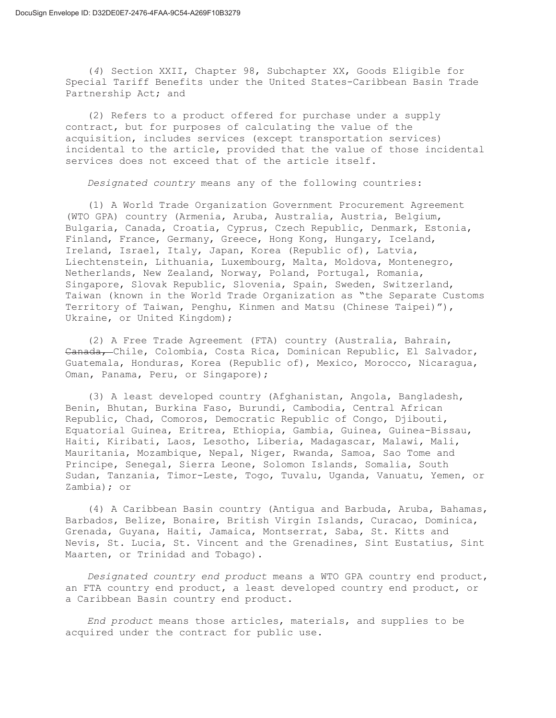(*4*) Section XXII, Chapter 98, Subchapter XX, Goods Eligible for Special Tariff Benefits under the United States-Caribbean Basin Trade Partnership Act; and

(2) Refers to a product offered for purchase under a supply contract, but for purposes of calculating the value of the acquisition, includes services (except transportation services) incidental to the article, provided that the value of those incidental services does not exceed that of the article itself.

*Designated country* means any of the following countries:

(1) A World Trade Organization Government Procurement Agreement (WTO GPA) country (Armenia, Aruba, Australia, Austria, Belgium, Bulgaria, Canada, Croatia, Cyprus, Czech Republic, Denmark, Estonia, Finland, France, Germany, Greece, Hong Kong, Hungary, Iceland, Ireland, Israel, Italy, Japan, Korea (Republic of), Latvia, Liechtenstein, Lithuania, Luxembourg, Malta, Moldova, Montenegro, Netherlands, New Zealand, Norway, Poland, Portugal, Romania, Singapore, Slovak Republic, Slovenia, Spain, Sweden, Switzerland, Taiwan (known in the World Trade Organization as "the Separate Customs Territory of Taiwan, Penghu, Kinmen and Matsu (Chinese Taipei)"), Ukraine, or United Kingdom);

(2) A Free Trade Agreement (FTA) country (Australia, Bahrain, Canada, Chile, Colombia, Costa Rica, Dominican Republic, El Salvador, Guatemala, Honduras, Korea (Republic of), Mexico, Morocco, Nicaragua, Oman, Panama, Peru, or Singapore);

(3) A least developed country (Afghanistan, Angola, Bangladesh, Benin, Bhutan, Burkina Faso, Burundi, Cambodia, Central African Republic, Chad, Comoros, Democratic Republic of Congo, Djibouti, Equatorial Guinea, Eritrea, Ethiopia, Gambia, Guinea, Guinea-Bissau, Haiti, Kiribati, Laos, Lesotho, Liberia, Madagascar, Malawi, Mali, Mauritania, Mozambique, Nepal, Niger, Rwanda, Samoa, Sao Tome and Principe, Senegal, Sierra Leone, Solomon Islands, Somalia, South Sudan, Tanzania, Timor-Leste, Togo, Tuvalu, Uganda, Vanuatu, Yemen, or Zambia); or

(4) A Caribbean Basin country (Antigua and Barbuda, Aruba, Bahamas, Barbados, Belize, Bonaire, British Virgin Islands, Curacao, Dominica, Grenada, Guyana, Haiti, Jamaica, Montserrat, Saba, St. Kitts and Nevis, St. Lucia, St. Vincent and the Grenadines, Sint Eustatius, Sint Maarten, or Trinidad and Tobago).

*Designated country end product* means a WTO GPA country end product, an FTA country end product, a least developed country end product, or a Caribbean Basin country end product.

*End product* means those articles, materials, and supplies to be acquired under the contract for public use.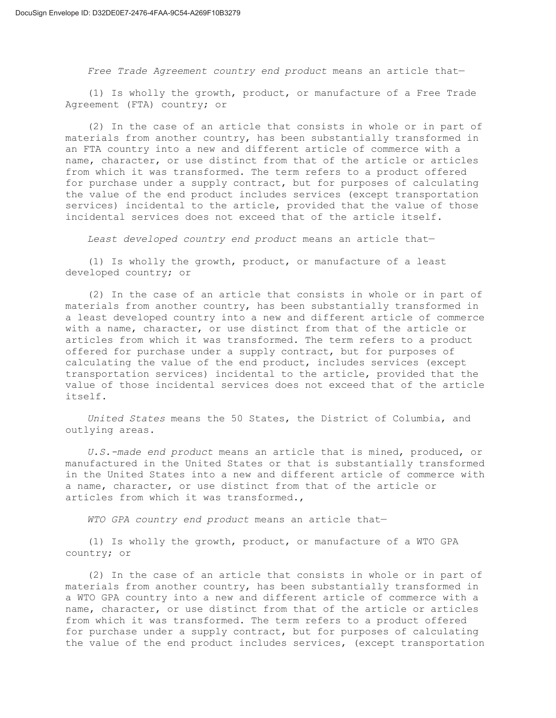*Free Trade Agreement country end product* means an article that—

(1) Is wholly the growth, product, or manufacture of a Free Trade Agreement (FTA) country; or

(2) In the case of an article that consists in whole or in part of materials from another country, has been substantially transformed in an FTA country into a new and different article of commerce with a name, character, or use distinct from that of the article or articles from which it was transformed. The term refers to a product offered for purchase under a supply contract, but for purposes of calculating the value of the end product includes services (except transportation services) incidental to the article, provided that the value of those incidental services does not exceed that of the article itself.

*Least developed country end product* means an article that—

(1) Is wholly the growth, product, or manufacture of a least developed country; or

(2) In the case of an article that consists in whole or in part of materials from another country, has been substantially transformed in a least developed country into a new and different article of commerce with a name, character, or use distinct from that of the article or articles from which it was transformed. The term refers to a product offered for purchase under a supply contract, but for purposes of calculating the value of the end product, includes services (except transportation services) incidental to the article, provided that the value of those incidental services does not exceed that of the article itself.

*United States* means the 50 States, the District of Columbia, and outlying areas.

*U.S.-made end product* means an article that is mined, produced, or manufactured in the United States or that is substantially transformed in the United States into a new and different article of commerce with a name, character, or use distinct from that of the article or articles from which it was transformed.,

*WTO GPA country end product* means an article that—

(1) Is wholly the growth, product, or manufacture of a WTO GPA country; or

(2) In the case of an article that consists in whole or in part of materials from another country, has been substantially transformed in a WTO GPA country into a new and different article of commerce with a name, character, or use distinct from that of the article or articles from which it was transformed. The term refers to a product offered for purchase under a supply contract, but for purposes of calculating the value of the end product includes services, (except transportation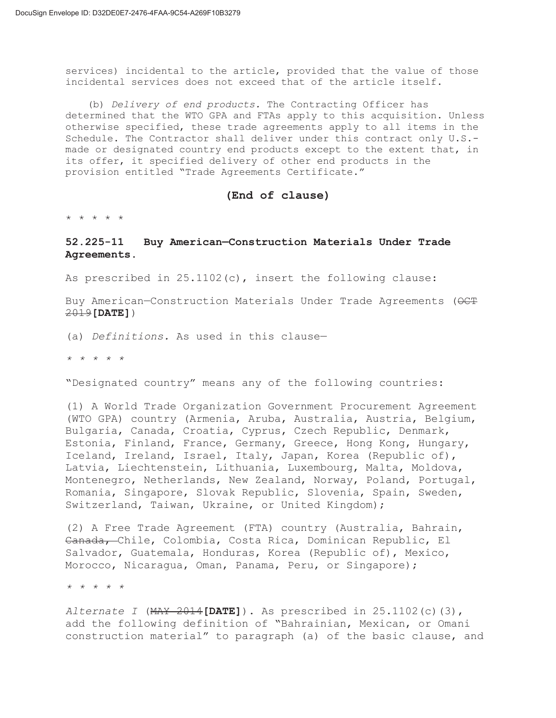services) incidental to the article, provided that the value of those incidental services does not exceed that of the article itself.

(b) *Delivery of end products.* The Contracting Officer has determined that the WTO GPA and FTAs apply to this acquisition. Unless otherwise specified, these trade agreements apply to all items in the Schedule. The Contractor shall deliver under this contract only U.S. made or designated country end products except to the extent that, in its offer, it specified delivery of other end products in the provision entitled "Trade Agreements Certificate."

## **(End of clause)**

\* \* \* \* \*

# **52.225-11 Buy American—Construction Materials Under Trade Agreements.**

As prescribed in 25.1102(c), insert the following clause:

Buy American–Construction Materials Under Trade Agreements (OCT 2019**[DATE]**)

(a) *Definitions.* As used in this clause—

*\* \* \* \* \** 

"Designated country" means any of the following countries:

(1) A World Trade Organization Government Procurement Agreement (WTO GPA) country (Armenia, Aruba, Australia, Austria, Belgium, Bulgaria, Canada, Croatia, Cyprus, Czech Republic, Denmark, Estonia, Finland, France, Germany, Greece, Hong Kong, Hungary, Iceland, Ireland, Israel, Italy, Japan, Korea (Republic of), Latvia, Liechtenstein, Lithuania, Luxembourg, Malta, Moldova, Montenegro, Netherlands, New Zealand, Norway, Poland, Portugal, Romania, Singapore, Slovak Republic, Slovenia, Spain, Sweden, Switzerland, Taiwan, Ukraine, or United Kingdom);

(2) A Free Trade Agreement (FTA) country (Australia, Bahrain, Canada, Chile, Colombia, Costa Rica, Dominican Republic, El Salvador, Guatemala, Honduras, Korea (Republic of), Mexico, Morocco, Nicaragua, Oman, Panama, Peru, or Singapore);

*\* \* \* \* \** 

*Alternate I* (MAY 2014**[DATE]**). As prescribed in 25.1102(c)(3), add the following definition of "Bahrainian, Mexican, or Omani construction material" to paragraph (a) of the basic clause, and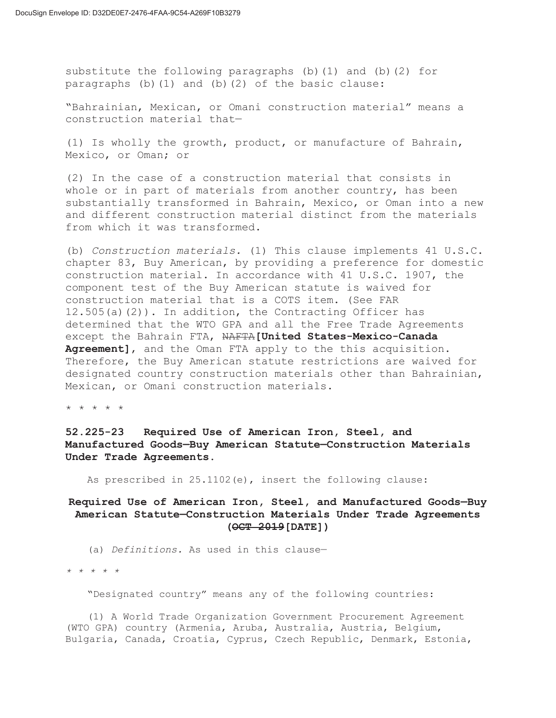substitute the following paragraphs (b)(1) and (b)(2) for paragraphs (b)(1) and (b)(2) of the basic clause:

"Bahrainian, Mexican, or Omani construction material" means a construction material that—

(1) Is wholly the growth, product, or manufacture of Bahrain, Mexico, or Oman; or

(2) In the case of a construction material that consists in whole or in part of materials from another country, has been substantially transformed in Bahrain, Mexico, or Oman into a new and different construction material distinct from the materials from which it was transformed.

(b) *Construction materials.* (1) This clause implements 41 U.S.C. chapter 83, Buy American, by providing a preference for domestic construction material. In accordance with 41 U.S.C. 1907, the component test of the Buy American statute is waived for construction material that is a COTS item. (See FAR 12.505(a)(2)). In addition, the Contracting Officer has determined that the WTO GPA and all the Free Trade Agreements except the Bahrain FTA, NAFTA**[United States-Mexico-Canada Agreement]**, and the Oman FTA apply to the this acquisition. Therefore, the Buy American statute restrictions are waived for designated country construction materials other than Bahrainian, Mexican, or Omani construction materials.

\* \* \* \* \*

**52.225-23 Required Use of American Iron, Steel, and Manufactured Goods—Buy American Statute—Construction Materials Under Trade Agreements.** 

As prescribed in 25.1102(e), insert the following clause:

# **Required Use of American Iron, Steel, and Manufactured Goods—Buy American Statute—Construction Materials Under Trade Agreements (OCT 2019[DATE])**

(a) *Definitions.* As used in this clause—

*\* \* \* \* \** 

"Designated country" means any of the following countries:

(1) A World Trade Organization Government Procurement Agreement (WTO GPA) country (Armenia, Aruba, Australia, Austria, Belgium, Bulgaria, Canada, Croatia, Cyprus, Czech Republic, Denmark, Estonia,